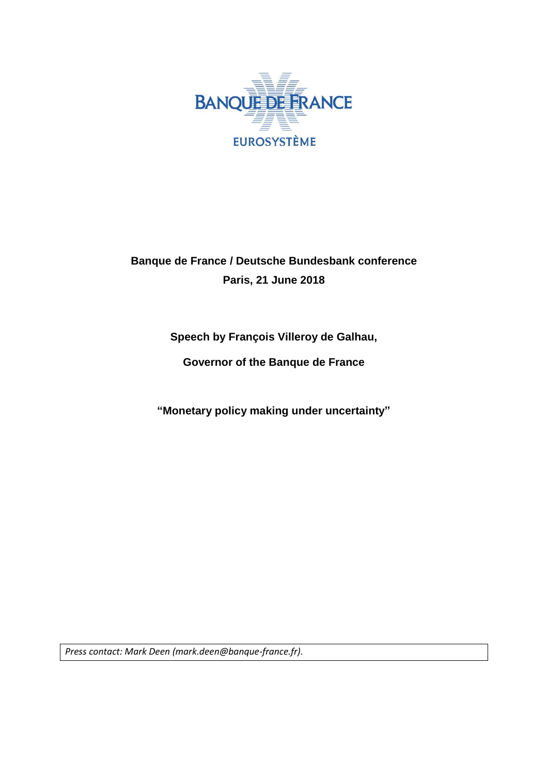

# **Banque de France / Deutsche Bundesbank conference Paris, 21 June 2018**

**Speech by François Villeroy de Galhau,**

**Governor of the Banque de France**

**"Monetary policy making under uncertainty"**

*Press contact: Mark Deen (mark.deen@banque-france.fr).*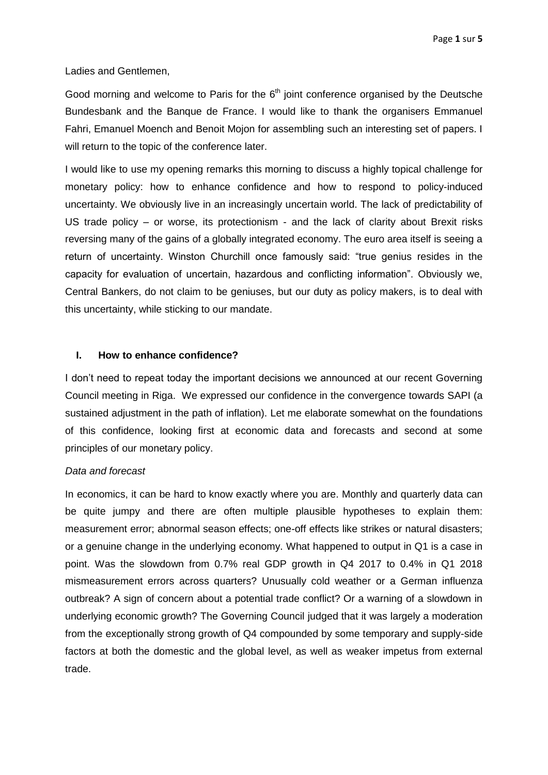Ladies and Gentlemen,

Good morning and welcome to Paris for the  $6<sup>th</sup>$  joint conference organised by the Deutsche Bundesbank and the Banque de France. I would like to thank the organisers Emmanuel Fahri, Emanuel Moench and Benoit Mojon for assembling such an interesting set of papers. I will return to the topic of the conference later.

I would like to use my opening remarks this morning to discuss a highly topical challenge for monetary policy: how to enhance confidence and how to respond to policy-induced uncertainty. We obviously live in an increasingly uncertain world. The lack of predictability of US trade policy – or worse, its protectionism - and the lack of clarity about Brexit risks reversing many of the gains of a globally integrated economy. The euro area itself is seeing a return of uncertainty. Winston Churchill once famously said: "true genius resides in the capacity for evaluation of uncertain, hazardous and conflicting information". Obviously we, Central Bankers, do not claim to be geniuses, but our duty as policy makers, is to deal with this uncertainty, while sticking to our mandate.

#### **I. How to enhance confidence?**

I don't need to repeat today the important decisions we announced at our recent Governing Council meeting in Riga. We expressed our confidence in the convergence towards SAPI (a sustained adjustment in the path of inflation). Let me elaborate somewhat on the foundations of this confidence, looking first at economic data and forecasts and second at some principles of our monetary policy.

## *Data and forecast*

In economics, it can be hard to know exactly where you are. Monthly and quarterly data can be quite jumpy and there are often multiple plausible hypotheses to explain them: measurement error; abnormal season effects; one-off effects like strikes or natural disasters; or a genuine change in the underlying economy. What happened to output in Q1 is a case in point. Was the slowdown from 0.7% real GDP growth in Q4 2017 to 0.4% in Q1 2018 mismeasurement errors across quarters? Unusually cold weather or a German influenza outbreak? A sign of concern about a potential trade conflict? Or a warning of a slowdown in underlying economic growth? The Governing Council judged that it was largely a moderation from the exceptionally strong growth of Q4 compounded by some temporary and supply-side factors at both the domestic and the global level, as well as weaker impetus from external trade.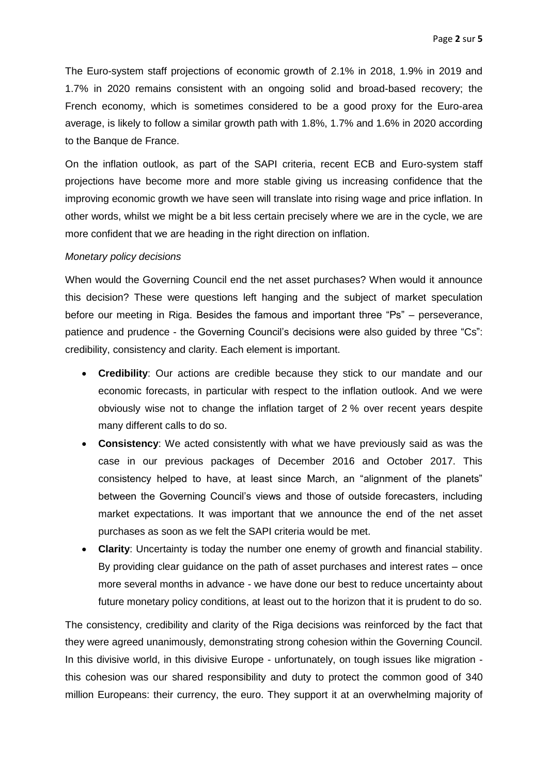The Euro-system staff projections of economic growth of 2.1% in 2018, 1.9% in 2019 and 1.7% in 2020 remains consistent with an ongoing solid and broad-based recovery; the French economy, which is sometimes considered to be a good proxy for the Euro-area average, is likely to follow a similar growth path with 1.8%, 1.7% and 1.6% in 2020 according to the Banque de France.

On the inflation outlook, as part of the SAPI criteria, recent ECB and Euro-system staff projections have become more and more stable giving us increasing confidence that the improving economic growth we have seen will translate into rising wage and price inflation. In other words, whilst we might be a bit less certain precisely where we are in the cycle, we are more confident that we are heading in the right direction on inflation.

### *Monetary policy decisions*

When would the Governing Council end the net asset purchases? When would it announce this decision? These were questions left hanging and the subject of market speculation before our meeting in Riga. Besides the famous and important three "Ps" – perseverance, patience and prudence - the Governing Council's decisions were also guided by three "Cs": credibility, consistency and clarity. Each element is important.

- **Credibility**: Our actions are credible because they stick to our mandate and our economic forecasts, in particular with respect to the inflation outlook. And we were obviously wise not to change the inflation target of 2 % over recent years despite many different calls to do so.
- **Consistency**: We acted consistently with what we have previously said as was the case in our previous packages of December 2016 and October 2017. This consistency helped to have, at least since March, an "alignment of the planets" between the Governing Council's views and those of outside forecasters, including market expectations. It was important that we announce the end of the net asset purchases as soon as we felt the SAPI criteria would be met.
- **Clarity**: Uncertainty is today the number one enemy of growth and financial stability. By providing clear guidance on the path of asset purchases and interest rates – once more several months in advance - we have done our best to reduce uncertainty about future monetary policy conditions, at least out to the horizon that it is prudent to do so.

The consistency, credibility and clarity of the Riga decisions was reinforced by the fact that they were agreed unanimously, demonstrating strong cohesion within the Governing Council. In this divisive world, in this divisive Europe - unfortunately, on tough issues like migration this cohesion was our shared responsibility and duty to protect the common good of 340 million Europeans: their currency, the euro. They support it at an overwhelming majority of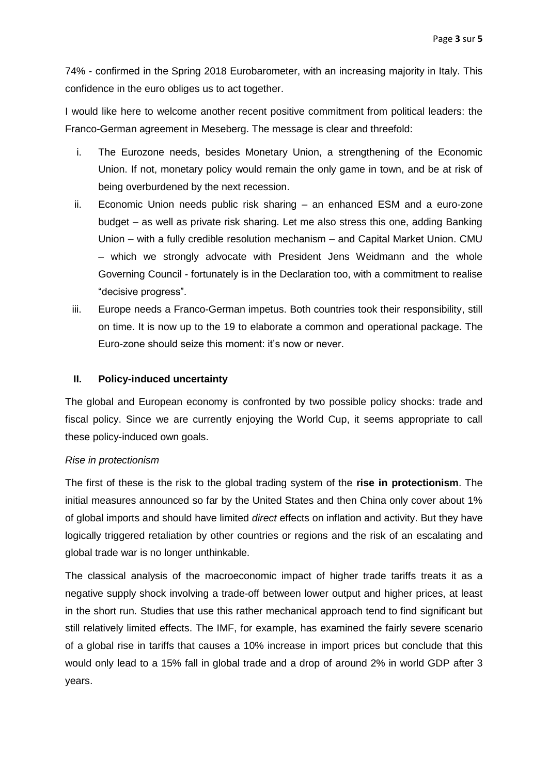74% - confirmed in the Spring 2018 Eurobarometer, with an increasing majority in Italy. This confidence in the euro obliges us to act together.

I would like here to welcome another recent positive commitment from political leaders: the Franco-German agreement in Meseberg. The message is clear and threefold:

- i. The Eurozone needs, besides Monetary Union, a strengthening of the Economic Union. If not, monetary policy would remain the only game in town, and be at risk of being overburdened by the next recession.
- ii. Economic Union needs public risk sharing an enhanced ESM and a euro-zone budget – as well as private risk sharing. Let me also stress this one, adding Banking Union – with a fully credible resolution mechanism – and Capital Market Union. CMU – which we strongly advocate with President Jens Weidmann and the whole Governing Council - fortunately is in the Declaration too, with a commitment to realise "decisive progress".
- iii. Europe needs a Franco-German impetus. Both countries took their responsibility, still on time. It is now up to the 19 to elaborate a common and operational package. The Euro-zone should seize this moment: it's now or never.

# **II. Policy-induced uncertainty**

The global and European economy is confronted by two possible policy shocks: trade and fiscal policy. Since we are currently enjoying the World Cup, it seems appropriate to call these policy-induced own goals.

# *Rise in protectionism*

The first of these is the risk to the global trading system of the **rise in protectionism**. The initial measures announced so far by the United States and then China only cover about 1% of global imports and should have limited *direct* effects on inflation and activity. But they have logically triggered retaliation by other countries or regions and the risk of an escalating and global trade war is no longer unthinkable.

The classical analysis of the macroeconomic impact of higher trade tariffs treats it as a negative supply shock involving a trade-off between lower output and higher prices, at least in the short run. Studies that use this rather mechanical approach tend to find significant but still relatively limited effects. The IMF, for example, has examined the fairly severe scenario of a global rise in tariffs that causes a 10% increase in import prices but conclude that this would only lead to a 15% fall in global trade and a drop of around 2% in world GDP after 3 years.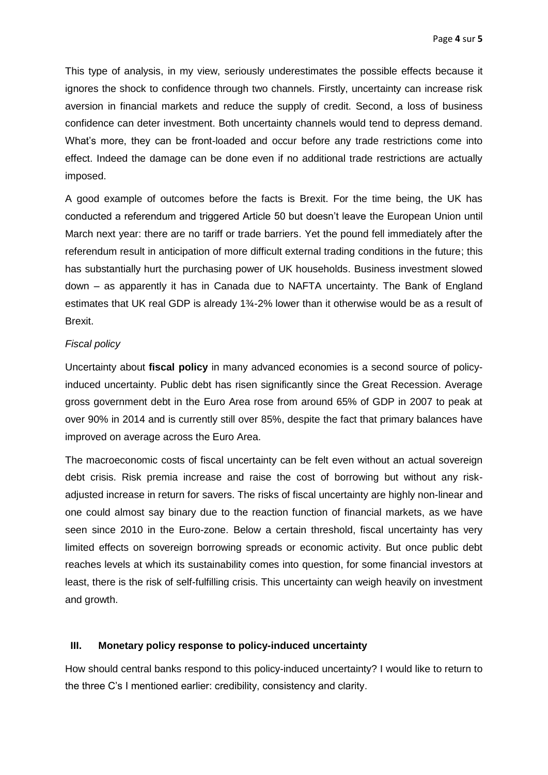This type of analysis, in my view, seriously underestimates the possible effects because it ignores the shock to confidence through two channels. Firstly, uncertainty can increase risk aversion in financial markets and reduce the supply of credit. Second, a loss of business confidence can deter investment. Both uncertainty channels would tend to depress demand. What's more, they can be front-loaded and occur before any trade restrictions come into effect. Indeed the damage can be done even if no additional trade restrictions are actually imposed.

A good example of outcomes before the facts is Brexit. For the time being, the UK has conducted a referendum and triggered Article 50 but doesn't leave the European Union until March next year: there are no tariff or trade barriers. Yet the pound fell immediately after the referendum result in anticipation of more difficult external trading conditions in the future; this has substantially hurt the purchasing power of UK households. Business investment slowed down – as apparently it has in Canada due to NAFTA uncertainty. The Bank of England estimates that UK real GDP is already 1¾-2% lower than it otherwise would be as a result of Brexit.

# *Fiscal policy*

Uncertainty about **fiscal policy** in many advanced economies is a second source of policyinduced uncertainty. Public debt has risen significantly since the Great Recession. Average gross government debt in the Euro Area rose from around 65% of GDP in 2007 to peak at over 90% in 2014 and is currently still over 85%, despite the fact that primary balances have improved on average across the Euro Area.

The macroeconomic costs of fiscal uncertainty can be felt even without an actual sovereign debt crisis. Risk premia increase and raise the cost of borrowing but without any riskadjusted increase in return for savers. The risks of fiscal uncertainty are highly non-linear and one could almost say binary due to the reaction function of financial markets, as we have seen since 2010 in the Euro-zone. Below a certain threshold, fiscal uncertainty has very limited effects on sovereign borrowing spreads or economic activity. But once public debt reaches levels at which its sustainability comes into question, for some financial investors at least, there is the risk of self-fulfilling crisis. This uncertainty can weigh heavily on investment and growth.

# **III. Monetary policy response to policy-induced uncertainty**

How should central banks respond to this policy-induced uncertainty? I would like to return to the three C's I mentioned earlier: credibility, consistency and clarity.